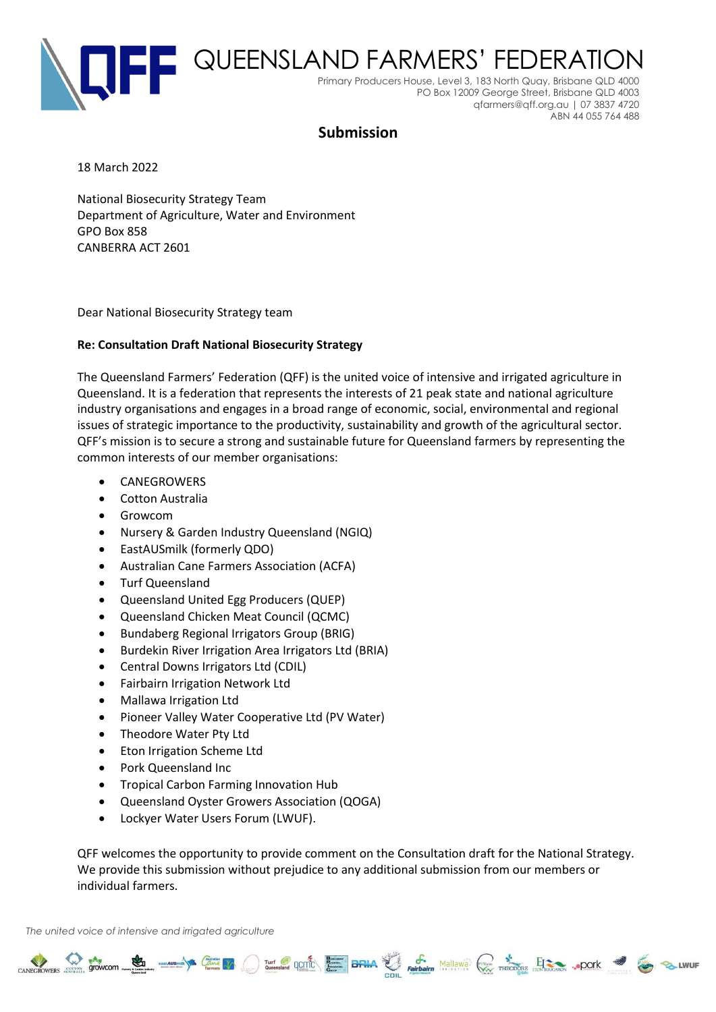

# **Submission**

18 March 2022

National Biosecurity Strategy Team Department of Agriculture, Water and Environment GPO Box 858 CANBERRA ACT 2601

Dear National Biosecurity Strategy team

## **Re: Consultation Draft National Biosecurity Strategy**

The Queensland Farmers' Federation (QFF) is the united voice of intensive and irrigated agriculture in Queensland. It is a federation that represents the interests of 21 peak state and national agriculture industry organisations and engages in a broad range of economic, social, environmental and regional issues of strategic importance to the productivity, sustainability and growth of the agricultural sector. QFF's mission is to secure a strong and sustainable future for Queensland farmers by representing the common interests of our member organisations:

- **CANEGROWERS**
- Cotton Australia
- Growcom
- Nursery & Garden Industry Queensland (NGIQ)
- EastAUSmilk (formerly QDO)
- Australian Cane Farmers Association (ACFA)
- Turf Queensland
- Queensland United Egg Producers (QUEP)
- Queensland Chicken Meat Council (QCMC)
- Bundaberg Regional Irrigators Group (BRIG)
- Burdekin River Irrigation Area Irrigators Ltd (BRIA)
- Central Downs Irrigators Ltd (CDIL)
- Fairbairn Irrigation Network Ltd
- Mallawa Irrigation Ltd
- Pioneer Valley Water Cooperative Ltd (PV Water)
- Theodore Water Pty Ltd
- Eton Irrigation Scheme Ltd
- Pork Queensland Inc
- Tropical Carbon Farming Innovation Hub
- Queensland Oyster Growers Association (QOGA)
- Lockyer Water Users Forum (LWUF).

QFF welcomes the opportunity to provide comment on the Consultation draft for the National Strategy. We provide this submission without prejudice to any additional submission from our members or individual farmers.

CANEGROWERS STOWCOM COME TO THE RESERVE OF THE CANAL PROPERTY AND THE CANAL STOCK OF THE CANAL STOCK OF THE CONTRACTORS ... POOK 3

*The united voice of intensive and irrigated agriculture*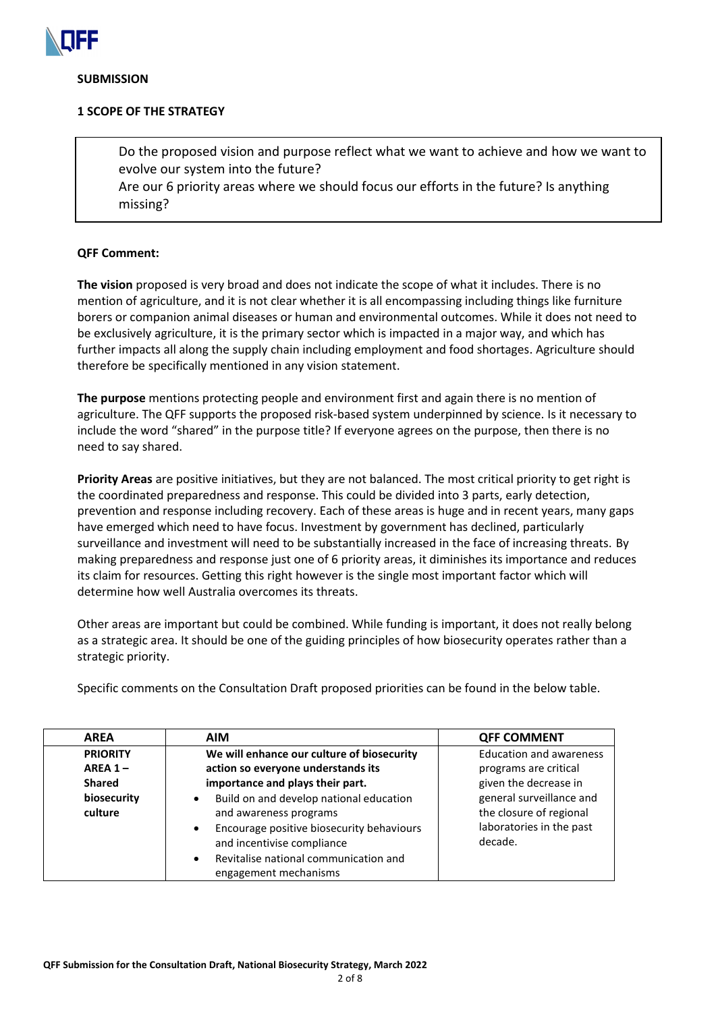

#### **SUBMISSION**

## **1 SCOPE OF THE STRATEGY**

Do the proposed vision and purpose reflect what we want to achieve and how we want to evolve our system into the future? Are our 6 priority areas where we should focus our efforts in the future? Is anything missing?

## **QFF Comment:**

**The vision** proposed is very broad and does not indicate the scope of what it includes. There is no mention of agriculture, and it is not clear whether it is all encompassing including things like furniture borers or companion animal diseases or human and environmental outcomes. While it does not need to be exclusively agriculture, it is the primary sector which is impacted in a major way, and which has further impacts all along the supply chain including employment and food shortages. Agriculture should therefore be specifically mentioned in any vision statement.

**The purpose** mentions protecting people and environment first and again there is no mention of agriculture. The QFF supports the proposed risk-based system underpinned by science. Is it necessary to include the word "shared" in the purpose title? If everyone agrees on the purpose, then there is no need to say shared.

**Priority Areas** are positive initiatives, but they are not balanced. The most critical priority to get right is the coordinated preparedness and response. This could be divided into 3 parts, early detection, prevention and response including recovery. Each of these areas is huge and in recent years, many gaps have emerged which need to have focus. Investment by government has declined, particularly surveillance and investment will need to be substantially increased in the face of increasing threats. By making preparedness and response just one of 6 priority areas, it diminishes its importance and reduces its claim for resources. Getting this right however is the single most important factor which will determine how well Australia overcomes its threats.

Other areas are important but could be combined. While funding is important, it does not really belong as a strategic area. It should be one of the guiding principles of how biosecurity operates rather than a strategic priority.

Specific comments on the Consultation Draft proposed priorities can be found in the below table.

| <b>AREA</b>            | <b>AIM</b>                                                                                                                                                                                                                                            | <b>QFF COMMENT</b>                                                                         |
|------------------------|-------------------------------------------------------------------------------------------------------------------------------------------------------------------------------------------------------------------------------------------------------|--------------------------------------------------------------------------------------------|
| <b>PRIORITY</b>        | We will enhance our culture of biosecurity                                                                                                                                                                                                            | <b>Education and awareness</b>                                                             |
| AREA $1-$              | action so everyone understands its                                                                                                                                                                                                                    | programs are critical                                                                      |
| <b>Shared</b>          | importance and plays their part.                                                                                                                                                                                                                      | given the decrease in                                                                      |
| biosecurity<br>culture | Build on and develop national education<br>$\bullet$<br>and awareness programs<br>Encourage positive biosecurity behaviours<br>$\bullet$<br>and incentivise compliance<br>Revitalise national communication and<br>$\bullet$<br>engagement mechanisms | general surveillance and<br>the closure of regional<br>laboratories in the past<br>decade. |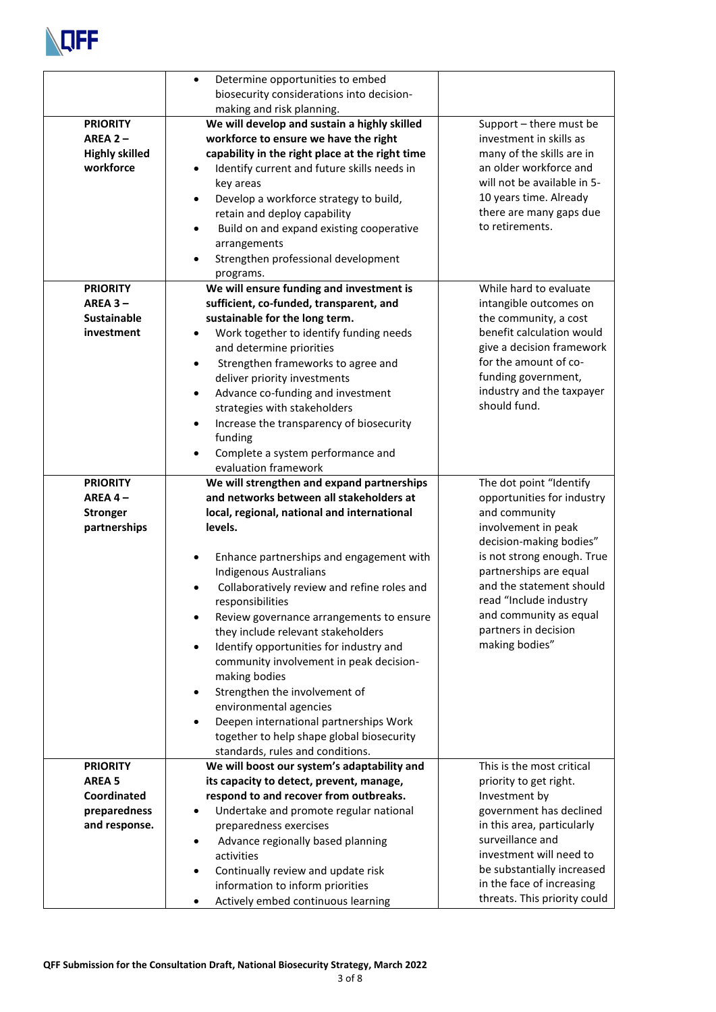

|                                                                                  | Determine opportunities to embed<br>$\bullet$<br>biosecurity considerations into decision-<br>making and risk planning.                                                                                                                                                                                                                                                                                                                                                                                                                                                                                                                                                                      |                                                                                                                                                                                                                                                                                                            |
|----------------------------------------------------------------------------------|----------------------------------------------------------------------------------------------------------------------------------------------------------------------------------------------------------------------------------------------------------------------------------------------------------------------------------------------------------------------------------------------------------------------------------------------------------------------------------------------------------------------------------------------------------------------------------------------------------------------------------------------------------------------------------------------|------------------------------------------------------------------------------------------------------------------------------------------------------------------------------------------------------------------------------------------------------------------------------------------------------------|
| <b>PRIORITY</b><br>$AREA2 -$<br><b>Highly skilled</b><br>workforce               | We will develop and sustain a highly skilled<br>workforce to ensure we have the right<br>capability in the right place at the right time<br>Identify current and future skills needs in<br>key areas<br>Develop a workforce strategy to build,<br>$\bullet$<br>retain and deploy capability<br>Build on and expand existing cooperative<br>$\bullet$<br>arrangements<br>Strengthen professional development<br>programs.                                                                                                                                                                                                                                                                     | Support - there must be<br>investment in skills as<br>many of the skills are in<br>an older workforce and<br>will not be available in 5-<br>10 years time. Already<br>there are many gaps due<br>to retirements.                                                                                           |
| <b>PRIORITY</b><br>$AREA3 -$<br><b>Sustainable</b><br>investment                 | We will ensure funding and investment is<br>sufficient, co-funded, transparent, and<br>sustainable for the long term.<br>Work together to identify funding needs<br>$\bullet$<br>and determine priorities<br>Strengthen frameworks to agree and<br>$\bullet$<br>deliver priority investments<br>Advance co-funding and investment<br>$\bullet$<br>strategies with stakeholders<br>Increase the transparency of biosecurity<br>$\bullet$<br>funding<br>Complete a system performance and<br>evaluation framework                                                                                                                                                                              | While hard to evaluate<br>intangible outcomes on<br>the community, a cost<br>benefit calculation would<br>give a decision framework<br>for the amount of co-<br>funding government,<br>industry and the taxpayer<br>should fund.                                                                           |
| <b>PRIORITY</b><br>AREA $4-$<br><b>Stronger</b><br>partnerships                  | We will strengthen and expand partnerships<br>and networks between all stakeholders at<br>local, regional, national and international<br>levels.<br>Enhance partnerships and engagement with<br><b>Indigenous Australians</b><br>Collaboratively review and refine roles and<br>responsibilities<br>Review governance arrangements to ensure<br>they include relevant stakeholders<br>Identify opportunities for industry and<br>$\bullet$<br>community involvement in peak decision-<br>making bodies<br>Strengthen the involvement of<br>environmental agencies<br>Deepen international partnerships Work<br>together to help shape global biosecurity<br>standards, rules and conditions. | The dot point "Identify<br>opportunities for industry<br>and community<br>involvement in peak<br>decision-making bodies"<br>is not strong enough. True<br>partnerships are equal<br>and the statement should<br>read "Include industry<br>and community as equal<br>partners in decision<br>making bodies" |
| <b>PRIORITY</b><br><b>AREA 5</b><br>Coordinated<br>preparedness<br>and response. | We will boost our system's adaptability and<br>its capacity to detect, prevent, manage,<br>respond to and recover from outbreaks.<br>Undertake and promote regular national<br>٠<br>preparedness exercises<br>Advance regionally based planning<br>$\bullet$<br>activities<br>Continually review and update risk<br>$\bullet$<br>information to inform priorities<br>Actively embed continuous learning                                                                                                                                                                                                                                                                                      | This is the most critical<br>priority to get right.<br>Investment by<br>government has declined<br>in this area, particularly<br>surveillance and<br>investment will need to<br>be substantially increased<br>in the face of increasing<br>threats. This priority could                                    |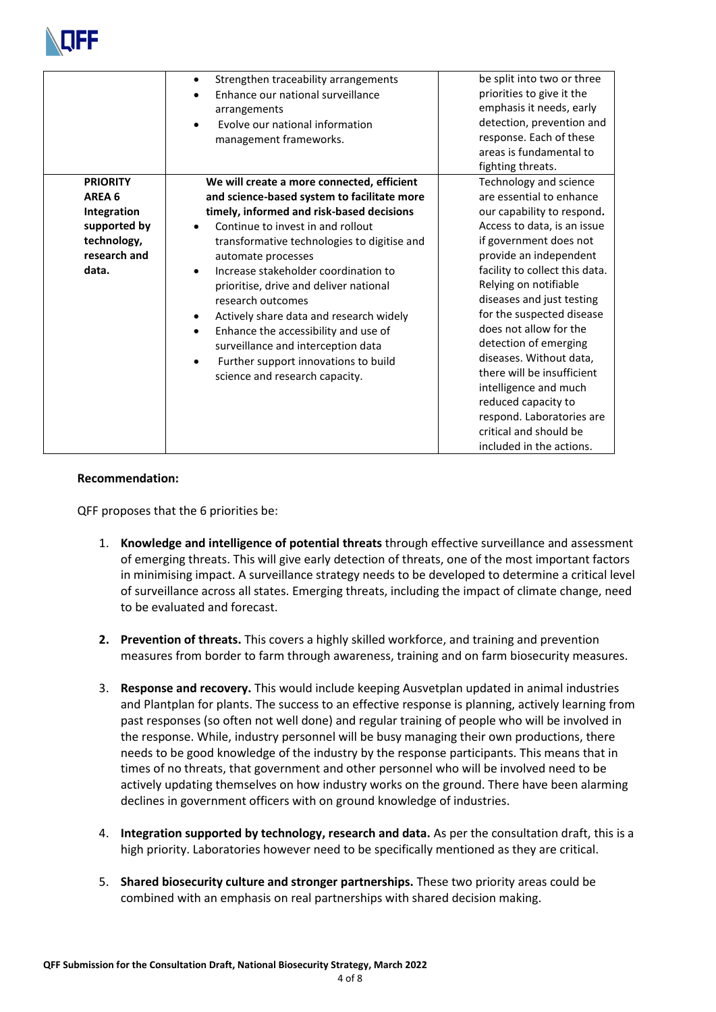

|                                                                                                  | Strengthen traceability arrangements<br>$\bullet$<br>Enhance our national surveillance<br>arrangements<br>Evolve our national information<br>management frameworks.                                                                                                                                                                                                                                                                                                                                                                                                     | be split into two or three<br>priorities to give it the<br>emphasis it needs, early<br>detection, prevention and<br>response. Each of these<br>areas is fundamental to<br>fighting threats.                                                                                                                                                                                                                                                                                                                                             |
|--------------------------------------------------------------------------------------------------|-------------------------------------------------------------------------------------------------------------------------------------------------------------------------------------------------------------------------------------------------------------------------------------------------------------------------------------------------------------------------------------------------------------------------------------------------------------------------------------------------------------------------------------------------------------------------|-----------------------------------------------------------------------------------------------------------------------------------------------------------------------------------------------------------------------------------------------------------------------------------------------------------------------------------------------------------------------------------------------------------------------------------------------------------------------------------------------------------------------------------------|
| <b>PRIORITY</b><br>AREA 6<br>Integration<br>supported by<br>technology,<br>research and<br>data. | We will create a more connected, efficient<br>and science-based system to facilitate more<br>timely, informed and risk-based decisions<br>Continue to invest in and rollout<br>transformative technologies to digitise and<br>automate processes<br>Increase stakeholder coordination to<br>$\bullet$<br>prioritise, drive and deliver national<br>research outcomes<br>Actively share data and research widely<br>Enhance the accessibility and use of<br>surveillance and interception data<br>Further support innovations to build<br>science and research capacity. | Technology and science<br>are essential to enhance<br>our capability to respond.<br>Access to data, is an issue<br>if government does not<br>provide an independent<br>facility to collect this data.<br>Relying on notifiable<br>diseases and just testing<br>for the suspected disease<br>does not allow for the<br>detection of emerging<br>diseases. Without data,<br>there will be insufficient<br>intelligence and much<br>reduced capacity to<br>respond. Laboratories are<br>critical and should be<br>included in the actions. |

## **Recommendation:**

QFF proposes that the 6 priorities be:

- 1. **Knowledge and intelligence of potential threats** through effective surveillance and assessment of emerging threats. This will give early detection of threats, one of the most important factors in minimising impact. A surveillance strategy needs to be developed to determine a critical level of surveillance across all states. Emerging threats, including the impact of climate change, need to be evaluated and forecast.
- **2. Prevention of threats.** This covers a highly skilled workforce, and training and prevention measures from border to farm through awareness, training and on farm biosecurity measures.
- 3. **Response and recovery.** This would include keeping Ausvetplan updated in animal industries and Plantplan for plants. The success to an effective response is planning, actively learning from past responses (so often not well done) and regular training of people who will be involved in the response. While, industry personnel will be busy managing their own productions, there needs to be good knowledge of the industry by the response participants. This means that in times of no threats, that government and other personnel who will be involved need to be actively updating themselves on how industry works on the ground. There have been alarming declines in government officers with on ground knowledge of industries.
- 4. **Integration supported by technology, research and data.** As per the consultation draft, this is a high priority. Laboratories however need to be specifically mentioned as they are critical.
- 5. **Shared biosecurity culture and stronger partnerships.** These two priority areas could be combined with an emphasis on real partnerships with shared decision making.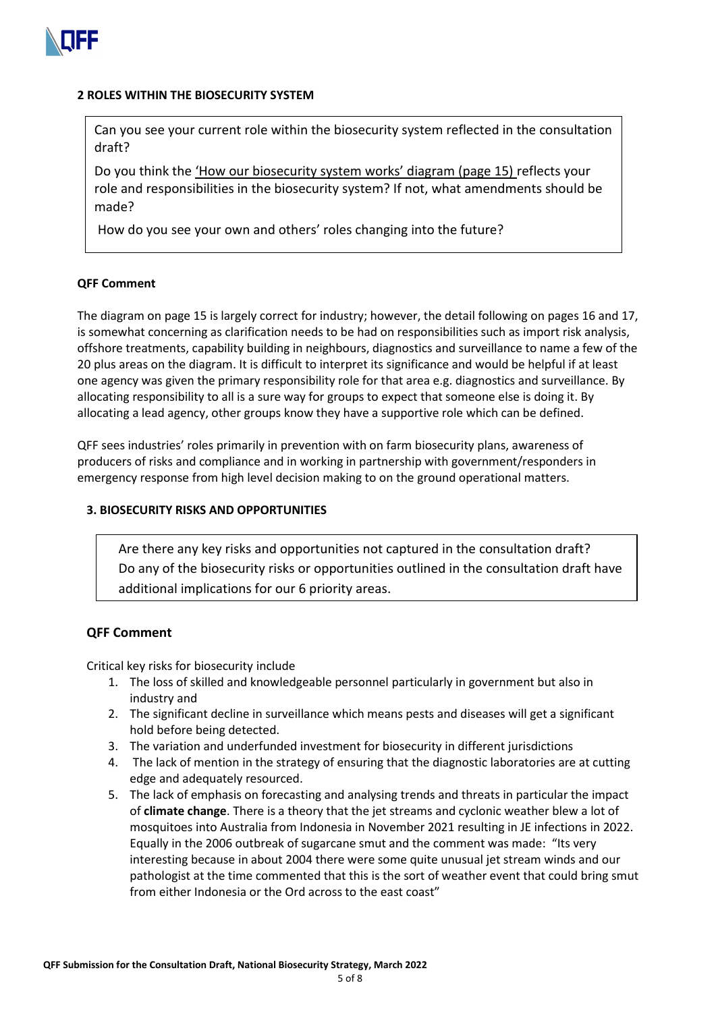

#### **2 ROLES WITHIN THE BIOSECURITY SYSTEM**

Can you see your current role within the biosecurity system reflected in the consultation draft?

Do you think the 'How our biosecurity system works' diagram (page 15) reflects your role and responsibilities in the biosecurity system? If not, what amendments should be made?

How do you see your own and others' roles changing into the future?

## **QFF Comment**

The diagram on page 15 is largely correct for industry; however, the detail following on pages 16 and 17, is somewhat concerning as clarification needs to be had on responsibilities such as import risk analysis, offshore treatments, capability building in neighbours, diagnostics and surveillance to name a few of the 20 plus areas on the diagram. It is difficult to interpret its significance and would be helpful if at least one agency was given the primary responsibility role for that area e.g. diagnostics and surveillance. By allocating responsibility to all is a sure way for groups to expect that someone else is doing it. By allocating a lead agency, other groups know they have a supportive role which can be defined.

QFF sees industries' roles primarily in prevention with on farm biosecurity plans, awareness of producers of risks and compliance and in working in partnership with government/responders in emergency response from high level decision making to on the ground operational matters.

## **3. BIOSECURITY RISKS AND OPPORTUNITIES**

 Are there any key risks and opportunities not captured in the consultation draft? Do any of the biosecurity risks or opportunities outlined in the consultation draft have additional implications for our 6 priority areas.

# **QFF Comment**

Critical key risks for biosecurity include

- 1. The loss of skilled and knowledgeable personnel particularly in government but also in industry and
- 2. The significant decline in surveillance which means pests and diseases will get a significant hold before being detected.
- 3. The variation and underfunded investment for biosecurity in different jurisdictions
- 4. The lack of mention in the strategy of ensuring that the diagnostic laboratories are at cutting edge and adequately resourced.
- 5. The lack of emphasis on forecasting and analysing trends and threats in particular the impact of **climate change**. There is a theory that the jet streams and cyclonic weather blew a lot of mosquitoes into Australia from Indonesia in November 2021 resulting in JE infections in 2022. Equally in the 2006 outbreak of sugarcane smut and the comment was made: "Its very interesting because in about 2004 there were some quite unusual jet stream winds and our pathologist at the time commented that this is the sort of weather event that could bring smut from either Indonesia or the Ord across to the east coast"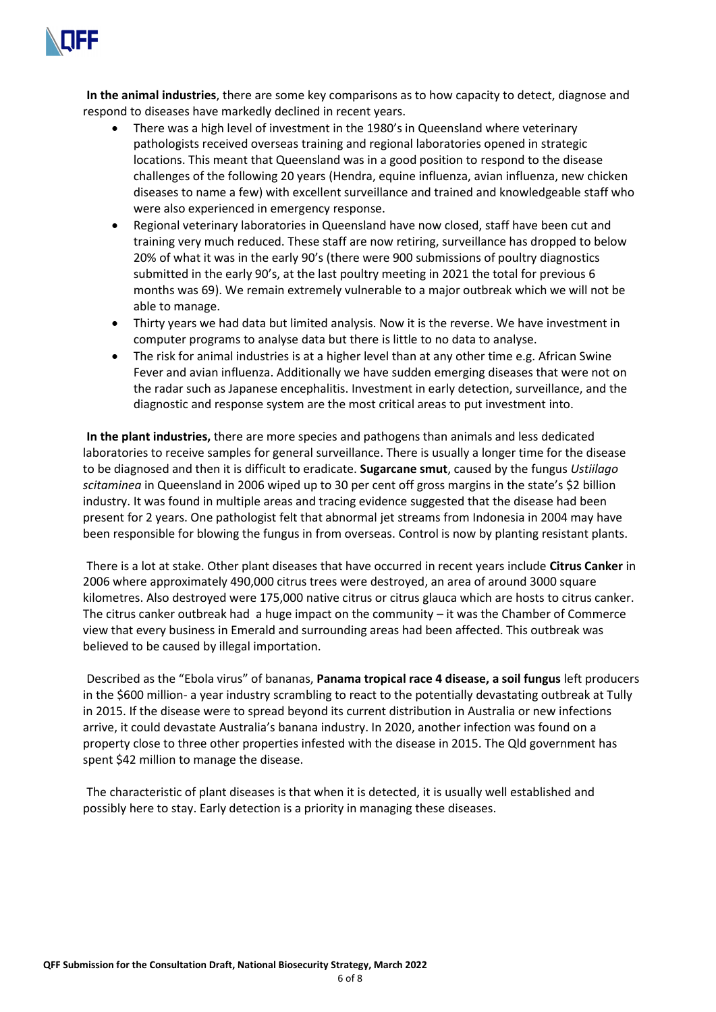

**In the animal industries**, there are some key comparisons as to how capacity to detect, diagnose and respond to diseases have markedly declined in recent years.

- There was a high level of investment in the 1980's in Queensland where veterinary pathologists received overseas training and regional laboratories opened in strategic locations. This meant that Queensland was in a good position to respond to the disease challenges of the following 20 years (Hendra, equine influenza, avian influenza, new chicken diseases to name a few) with excellent surveillance and trained and knowledgeable staff who were also experienced in emergency response.
- Regional veterinary laboratories in Queensland have now closed, staff have been cut and training very much reduced. These staff are now retiring, surveillance has dropped to below 20% of what it was in the early 90's (there were 900 submissions of poultry diagnostics submitted in the early 90's, at the last poultry meeting in 2021 the total for previous 6 months was 69). We remain extremely vulnerable to a major outbreak which we will not be able to manage.
- Thirty years we had data but limited analysis. Now it is the reverse. We have investment in computer programs to analyse data but there is little to no data to analyse.
- The risk for animal industries is at a higher level than at any other time e.g. African Swine Fever and avian influenza. Additionally we have sudden emerging diseases that were not on the radar such as Japanese encephalitis. Investment in early detection, surveillance, and the diagnostic and response system are the most critical areas to put investment into.

**In the plant industries,** there are more species and pathogens than animals and less dedicated laboratories to receive samples for general surveillance. There is usually a longer time for the disease to be diagnosed and then it is difficult to eradicate. **Sugarcane smut**, caused by the fungus *Ustiilago scitaminea* in Queensland in 2006 wiped up to 30 per cent off gross margins in the state's \$2 billion industry. It was found in multiple areas and tracing evidence suggested that the disease had been present for 2 years. One pathologist felt that abnormal jet streams from Indonesia in 2004 may have been responsible for blowing the fungus in from overseas. Control is now by planting resistant plants.

There is a lot at stake. Other plant diseases that have occurred in recent years include **Citrus Canker** in 2006 where approximately 490,000 citrus trees were destroyed, an area of around 3000 square kilometres. Also destroyed were 175,000 native citrus or citrus glauca which are hosts to citrus canker. The citrus canker outbreak had a huge impact on the community – it was the Chamber of Commerce view that every business in Emerald and surrounding areas had been affected. This outbreak was believed to be caused by illegal importation.

Described as the "Ebola virus" of bananas, **Panama tropical race 4 disease, a soil fungus** left producers in the \$600 million- a year industry scrambling to react to the potentially devastating outbreak at Tully in 2015. If the disease were to spread beyond its current distribution in Australia or new infections arrive, it could devastate Australia's banana industry. In 2020, another infection was found on a property close to three other properties infested with the disease in 2015. The Qld government has spent \$42 million to manage the disease.

The characteristic of plant diseases is that when it is detected, it is usually well established and possibly here to stay. Early detection is a priority in managing these diseases.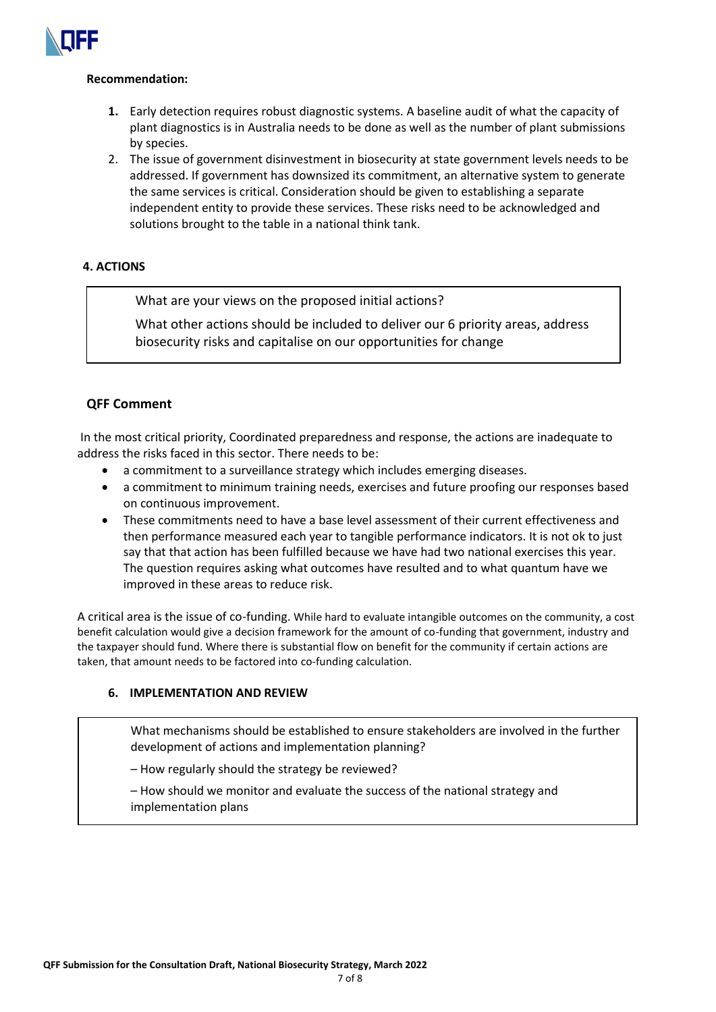

## **Recommendation:**

- **1.** Early detection requires robust diagnostic systems. A baseline audit of what the capacity of plant diagnostics is in Australia needs to be done as well as the number of plant submissions by species.
- 2. The issue of government disinvestment in biosecurity at state government levels needs to be addressed. If government has downsized its commitment, an alternative system to generate the same services is critical. Consideration should be given to establishing a separate independent entity to provide these services. These risks need to be acknowledged and solutions brought to the table in a national think tank.

# **4. ACTIONS**

What are your views on the proposed initial actions?

What other actions should be included to deliver our 6 priority areas, address biosecurity risks and capitalise on our opportunities for change

# **QFF Comment**

In the most critical priority, Coordinated preparedness and response, the actions are inadequate to address the risks faced in this sector. There needs to be:

- a commitment to a surveillance strategy which includes emerging diseases.
- a commitment to minimum training needs, exercises and future proofing our responses based on continuous improvement.
- These commitments need to have a base level assessment of their current effectiveness and then performance measured each year to tangible performance indicators. It is not ok to just say that that action has been fulfilled because we have had two national exercises this year. The question requires asking what outcomes have resulted and to what quantum have we improved in these areas to reduce risk.

A critical area is the issue of co-funding. While hard to evaluate intangible outcomes on the community, a cost benefit calculation would give a decision framework for the amount of co-funding that government, industry and the taxpayer should fund. Where there is substantial flow on benefit for the community if certain actions are taken, that amount needs to be factored into co-funding calculation.

# **6. IMPLEMENTATION AND REVIEW**

What mechanisms should be established to ensure stakeholders are involved in the further development of actions and implementation planning?

– How regularly should the strategy be reviewed?

– How should we monitor and evaluate the success of the national strategy and implementation plans